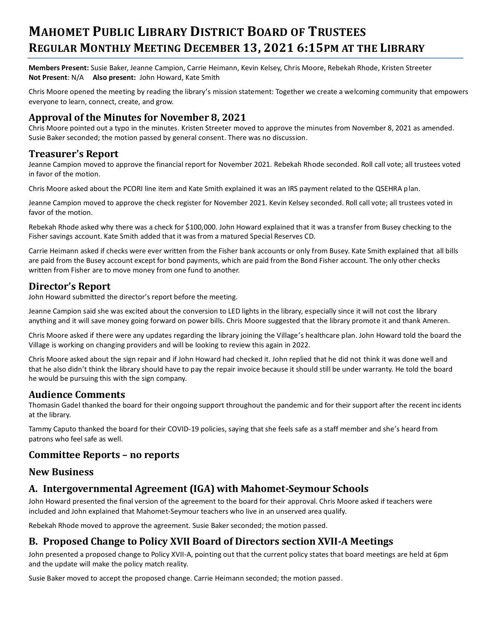# **MAHOMET PUBLIC LIBRARY DISTRICT BOARD OF TRUSTEES REGULAR MONTHLY MEETING DECEMBER 13, 2021 6:15PM AT THE LIBRARY**

**Members Present:** Susie Baker, Jeanne Campion, Carrie Heimann, Kevin Kelsey, Chris Moore, Rebekah Rhode, Kristen Streeter **Not Present**: N/A **Also present:** John Howard, Kate Smith

Chris Moore opened the meeting by reading the library's mission statement: Together we create a welcoming community that empowers everyone to learn, connect, create, and grow.

# **Approval of the Minutes for November 8, 2021**

Chris Moore pointed out a typo in the minutes. Kristen Streeter moved to approve the minutes from November 8, 2021 as amended. Susie Baker seconded; the motion passed by general consent. There was no discussion.

### **Treasurer's Report**

Jeanne Campion moved to approve the financial report for November 2021. Rebekah Rhode seconded. Roll call vote; all trustees voted in favor of the motion.

Chris Moore asked about the PCORI line item and Kate Smith explained it was an IRS payment related to the QSEHRA plan.

Jeanne Campion moved to approve the check register for November 2021. Kevin Kelsey seconded. Roll call vote; all trustees voted in favor of the motion.

Rebekah Rhode asked why there was a check for \$100,000. John Howard explained that it was a transfer from Busey checking to the Fisher savings account. Kate Smith added that it was from a matured Special Reserves CD.

Carrie Heimann asked if checks were ever written from the Fisher bank accounts or only from Busey. Kate Smith explained that all bills are paid from the Busey account except for bond payments, which are paid from the Bond Fisher account. The only other checks written from Fisher are to move money from one fund to another.

## **Director's Report**

John Howard submitted the director's report before the meeting.

Jeanne Campion said she was excited about the conversion to LED lights in the library, especially since it will not cost the library anything and it will save money going forward on power bills. Chris Moore suggested that the library promote it and thank Ameren.

Chris Moore asked if there were any updates regarding the library joining the Village's healthcare plan. John Howard told the board the Village is working on changing providers and will be looking to review this again in 2022.

Chris Moore asked about the sign repair and if John Howard had checked it. John replied that he did not think it was done well and that he also didn't think the library should have to pay the repair invoice because it should still be under warranty. He told the board he would be pursuing this with the sign company.

### **Audience Comments**

Thomasin Gadel thanked the board for their ongoing support throughout the pandemic and for their support after the recent inc idents at the library.

Tammy Caputo thanked the board for their COVID-19 policies, saying that she feels safe as a staff member and she's heard from patrons who feel safe as well.

## **Committee Reports – no reports**

## **New Business**

# **A. Intergovernmental Agreement (IGA) with Mahomet-Seymour Schools**

John Howard presented the final version of the agreement to the board for their approval. Chris Moore asked if teachers were included and John explained that Mahomet-Seymour teachers who live in an unserved area qualify.

Rebekah Rhode moved to approve the agreement. Susie Baker seconded; the motion passed.

# **B. Proposed Change to Policy XVII Board of Directors section XVII-A Meetings**

John presented a proposed change to Policy XVII-A, pointing out that the current policy states that board meetings are held at 6pm and the update will make the policy match reality.

Susie Baker moved to accept the proposed change. Carrie Heimann seconded; the motion passed.